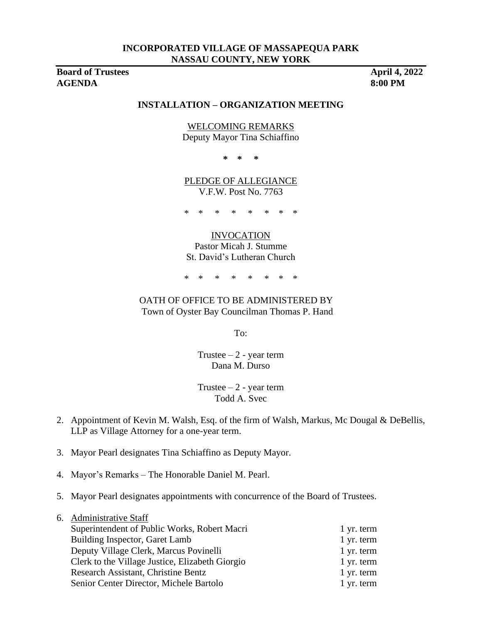**Board of Trustees** April 4, 2022 **AGENDA 8:00 PM**

### **INSTALLATION – ORGANIZATION MEETING**

# WELCOMING REMARKS

Deputy Mayor Tina Schiaffino

**\* \* \***

PLEDGE OF ALLEGIANCE V.F.W. Post No. 7763

\* \* \* \* \* \* \* \*

#### INVOCATION

Pastor Micah J. Stumme St. David's Lutheran Church

\* \* \* \* \* \* \* \*

### OATH OF OFFICE TO BE ADMINISTERED BY Town of Oyster Bay Councilman Thomas P. Hand

To:

Trustee  $-2$  - year term Dana M. Durso

Trustee  $-2$  - year term Todd A. Svec

- 2. Appointment of Kevin M. Walsh, Esq. of the firm of Walsh, Markus, Mc Dougal & DeBellis, LLP as Village Attorney for a one-year term.
- 3. Mayor Pearl designates Tina Schiaffino as Deputy Mayor.
- 4. Mayor's Remarks The Honorable Daniel M. Pearl.
- 5. Mayor Pearl designates appointments with concurrence of the Board of Trustees.

| 6. Administrative Staff                         |            |
|-------------------------------------------------|------------|
| Superintendent of Public Works, Robert Macri    | 1 yr. term |
| Building Inspector, Garet Lamb                  | 1 yr. term |
| Deputy Village Clerk, Marcus Povinelli          | 1 yr. term |
| Clerk to the Village Justice, Elizabeth Giorgio | 1 yr. term |
| Research Assistant, Christine Bentz             | 1 yr. term |
| Senior Center Director, Michele Bartolo         | 1 yr. term |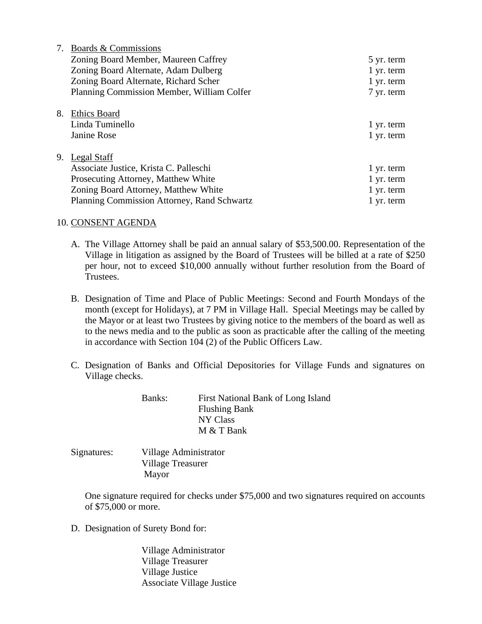|    | Boards & Commissions                        |            |
|----|---------------------------------------------|------------|
|    | Zoning Board Member, Maureen Caffrey        | 5 yr. term |
|    | Zoning Board Alternate, Adam Dulberg        | 1 yr. term |
|    | Zoning Board Alternate, Richard Scher       | 1 yr. term |
|    | Planning Commission Member, William Colfer  | 7 yr. term |
|    |                                             |            |
| 8. | <b>Ethics Board</b>                         |            |
|    | Linda Tuminello                             | 1 yr. term |
|    | Janine Rose                                 | 1 yr. term |
|    |                                             |            |
| 9. | Legal Staff                                 |            |
|    | Associate Justice, Krista C. Palleschi      | 1 yr. term |
|    | Prosecuting Attorney, Matthew White         | 1 yr. term |
|    | Zoning Board Attorney, Matthew White        | 1 yr. term |
|    | Planning Commission Attorney, Rand Schwartz | 1 yr. term |
|    |                                             |            |

### 10. CONSENT AGENDA

- A. The Village Attorney shall be paid an annual salary of \$53,500.00. Representation of the Village in litigation as assigned by the Board of Trustees will be billed at a rate of \$250 per hour, not to exceed \$10,000 annually without further resolution from the Board of Trustees.
- B. Designation of Time and Place of Public Meetings: Second and Fourth Mondays of the month (except for Holidays), at 7 PM in Village Hall. Special Meetings may be called by the Mayor or at least two Trustees by giving notice to the members of the board as well as to the news media and to the public as soon as practicable after the calling of the meeting in accordance with Section 104 (2) of the Public Officers Law.
- C. Designation of Banks and Official Depositories for Village Funds and signatures on Village checks.

Banks: First National Bank of Long Island Flushing Bank NY Class M & T Bank

Signatures: Village Administrator Village Treasurer Mayor

One signature required for checks under \$75,000 and two signatures required on accounts of \$75,000 or more.

D. Designation of Surety Bond for:

Village Administrator Village Treasurer Village Justice Associate Village Justice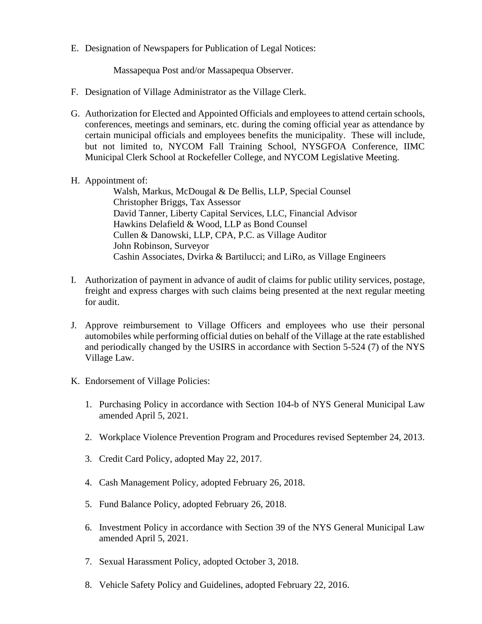E. Designation of Newspapers for Publication of Legal Notices:

Massapequa Post and/or Massapequa Observer.

- F. Designation of Village Administrator as the Village Clerk.
- G. Authorization for Elected and Appointed Officials and employees to attend certain schools, conferences, meetings and seminars, etc. during the coming official year as attendance by certain municipal officials and employees benefits the municipality. These will include, but not limited to, NYCOM Fall Training School, NYSGFOA Conference, IIMC Municipal Clerk School at Rockefeller College, and NYCOM Legislative Meeting.
- H. Appointment of:

Walsh, Markus, McDougal & De Bellis, LLP, Special Counsel Christopher Briggs, Tax Assessor David Tanner, Liberty Capital Services, LLC, Financial Advisor Hawkins Delafield & Wood, LLP as Bond Counsel Cullen & Danowski, LLP, CPA, P.C. as Village Auditor John Robinson, Surveyor Cashin Associates, Dvirka & Bartilucci; and LiRo, as Village Engineers

- I. Authorization of payment in advance of audit of claims for public utility services, postage, freight and express charges with such claims being presented at the next regular meeting for audit.
- J. Approve reimbursement to Village Officers and employees who use their personal automobiles while performing official duties on behalf of the Village at the rate established and periodically changed by the USIRS in accordance with Section 5-524 (7) of the NYS Village Law.
- K. Endorsement of Village Policies:
	- 1. Purchasing Policy in accordance with Section 104-b of NYS General Municipal Law amended April 5, 2021.
	- 2. Workplace Violence Prevention Program and Procedures revised September 24, 2013.
	- 3. Credit Card Policy, adopted May 22, 2017.
	- 4. Cash Management Policy, adopted February 26, 2018.
	- 5. Fund Balance Policy, adopted February 26, 2018.
	- 6. Investment Policy in accordance with Section 39 of the NYS General Municipal Law amended April 5, 2021.
	- 7. Sexual Harassment Policy, adopted October 3, 2018.
	- 8. Vehicle Safety Policy and Guidelines, adopted February 22, 2016.